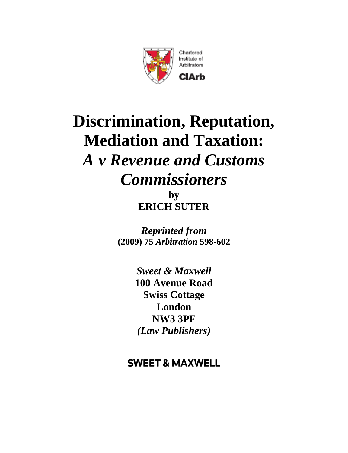

# **Discrimination, Reputation, Mediation and Taxation:** *A v Revenue and Customs Commissioners* **by ERICH SUTER**

*Reprinted from* **(2009) 75** *Arbitration* **598-602**

> *Sweet & Maxwell*  **100 Avenue Road Swiss Cottage London NW3 3PF** *(Law Publishers)*

# **SWEET & MAXWELL**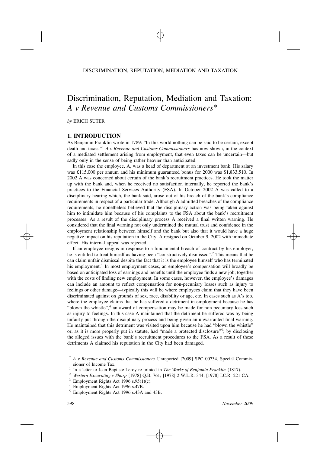## Discrimination, Reputation, Mediation and Taxation: *A v Revenue and Customs Commissioners*∗

*by* ERICH SUTER

#### **1. INTRODUCTION**

As Benjamin Franklin wrote in 1789: "In this world nothing can be said to be certain, except death and taxes."1 *A v Revenue and Customs Commissioners* has now shown, in the context of a mediated settlement arising from employment, that even taxes can be uncertain—but sadly only in the sense of being rather heavier than anticipated.

In this case the employee, A, was a head of department at an investment bank. His salary was £115,000 per annum and his minimum guaranteed bonus for 2000 was \$1,833,510. In 2002 A was concerned about certain of the bank's recruitment practices. He took the matter up with the bank and, when he received no satisfaction internally, he reported the bank's practices to the Financial Services Authority (FSA). In October 2002 A was called to a disciplinary hearing which, the bank said, arose out of his breach of the bank's compliance requirements in respect of a particular trade. Although A admitted breaches of the compliance requirements, he nonetheless believed that the disciplinary action was being taken against him to intimidate him because of his complaints to the FSA about the bank's recruitment processes. As a result of the disciplinary process A received a final written warning. He considered that the final warning not only undermined the mutual trust and confidence in the employment relationship between himself and the bank but also that it would have a huge negative impact on his reputation in the City. A resigned on October 9, 2002 with immediate effect. His internal appeal was rejected.

If an employee resigns in response to a fundamental breach of contract by his employer, he is entitled to treat himself as having been "constructively dismissed".<sup>2</sup> This means that he can claim unfair dismissal despite the fact that it is the employee himself who has terminated his employment.<sup>3</sup> In most employment cases, an employee's compensation will broadly be based on anticipated loss of earnings and benefits until the employee finds a new job; together with the costs of finding new employment. In some cases, however, the employee's damages can include an amount to reflect compensation for non-pecuniary losses such as injury to feelings or other damage—typically this will be where employees claim that they have been discriminated against on grounds of sex, race, disability or age, etc. In cases such as A's too, where the employee claims that he has suffered a detriment in employment because he has "blown the whistle", $4$  an award of compensation may be made for non-pecuniary loss such as injury to feelings. In this case A maintained that the detriment he suffered was by being unfairly put through the disciplinary process and being given an unwarranted final warning. He maintained that this detriment was visited upon him because he had "blown the whistle" or, as it is more properly put in statute, had "made a protected disclosure"5; by disclosing the alleged issues with the bank's recruitment procedures to the FSA. As a result of these detriments A claimed his reputation in the City had been damaged.

<sup>\*</sup> *A v Revenue and Customs Commissioners* Unreported [2009] SPC 00734, Special Commissioner of Income Tax.

<sup>&</sup>lt;sup>1</sup> In a letter to Jean-Baptiste Leroy re-printed in *The Works of Benjamin Franklin* (1817).

<sup>2</sup> *Western Excavating v Sharp* [1978] Q.B. 761; [1978] 2 W.L.R. 344; [1978] I.C.R. 221 CA.

 $3$  Employment Rights Act 1996 s.95(1)(c).

<sup>4</sup> Employment Rights Act 1996 s.47B.

<sup>5</sup> Employment Rights Act 1996 s.43A and 43B.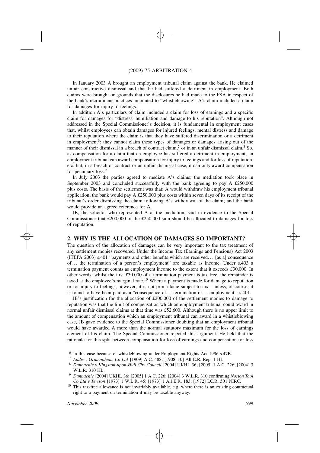#### (2009) 75 ARBITRATION 4

In January 2003 A brought an employment tribunal claim against the bank. He claimed unfair constructive dismissal and that he had suffered a detriment in employment. Both claims were brought on grounds that the disclosures he had made to the FSA in respect of the bank's recruitment practices amounted to "whistleblowing". A's claim included a claim for damages for injury to feelings.

In addition A's particulars of claim included a claim for loss of earnings and a specific claim for damages for "distress, humiliation and damage to his reputation". Although not addressed in the Special Commissioner's decision, it is fundamental in employment cases that, whilst employees can obtain damages for injured feelings, mental distress and damage to their reputation where the claim is that they have suffered discrimination or a detriment in employment<sup>6</sup>; they cannot claim these types of damages or damages arising out of the manner of their dismissal in a breach of contract claim,<sup>7</sup> or in an unfair dismissal claim.<sup>8</sup> So, as compensation for a claim that an employee has suffered a detriment in employment, an employment tribunal can award compensation for injury to feelings and for loss of reputation, etc. but, in a breach of contract or an unfair dismissal case, it can only award compensation for pecuniary loss.<sup>9</sup>

In July 2003 the parties agreed to mediate A's claims; the mediation took place in September 2003 and concluded successfully with the bank agreeing to pay A £250,000 plus costs. The basis of the settlement was that: A would withdraw his employment tribunal application; the bank would pay A  $£250,000$  plus costs within seven days of its receipt of the tribunal's order dismissing the claim following A's withdrawal of the claim; and the bank would provide an agreed reference for A.

JB, the solicitor who represented A at the mediation, said in evidence to the Special Commissioner that  $£200,000$  of the £250,000 sum should be allocated to damages for loss of reputation.

#### **2. WHY IS THE ALLOCATION OF DAMAGES SO IMPORTANT?**

The question of the allocation of damages can be very important to the tax treatment of any settlement monies recovered. Under the Income Tax (Earnings and Pensions) Act 2003 (ITEPA 2003) s.401 "payments and other benefits which are received*...* [as a] consequence of*...* the termination of a person's employment" are taxable as income. Under s.403 a termination payment counts as employment income to the extent that it exceeds £30,000. In other words: whilst the first £30,000 of a termination payment is tax free, the remainder is taxed at the employee's marginal rate.<sup>10</sup> Where a payment is made for damage to reputation or for injury to feelings, however, it is not prima facie subject to tax—unless, of course, it is found to have been paid as a "consequence of*...* termination of*...* employment", s.401.

JB's justification for the allocation of £200,000 of the settlement monies to damage to reputation was that the limit of compensation which an employment tribunal could award in normal unfair dismissal claims at that time was £52,600. Although there is no upper limit to the amount of compensation which an employment tribunal can award in a whistleblowing case, JB gave evidence to the Special Commissioner doubting that an employment tribunal would have awarded A more than the normal statutory maximum for the loss of earnings element of his claim. The Special Commissioner rejected this argument. He held that the rationale for this split between compensation for loss of earnings and compensation for loss

<sup>&</sup>lt;sup>6</sup> In this case because of whistleblowing under Employment Rights Act 1996 s.47B.

<sup>7</sup> *Addis v Gramophone Co Ltd* [1909] A.C. 488; [1908–10] All E.R. Rep. 1 HL.

<sup>8</sup> *Dunnachie v Kingston-upon-Hull City Council* [2004] UKHL 36; [2005] 1 A.C. 226; [2004] 3 W.L.R. 310 HL.

<sup>9</sup> *Dunnachie* [2004] UKHL 36; [2005] 1 A.C. 226; [2004] 3 W.L.R. 310 confirming *Norton Tool Co Ltd v Tewson* [1973] 1 W.L.R. 45; [1973] 1 All E.R. 183; [1972] I.C.R. 501 NIRC.

<sup>&</sup>lt;sup>10</sup> This tax-free allowance is not invariably available, e.g. where there is an existing contractual right to a payment on termination it may be taxable anyway.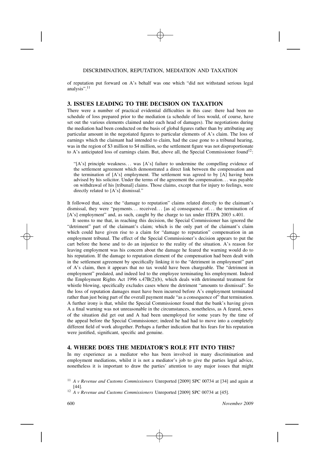#### DISCRIMINATION, REPUTATION, MEDIATION AND TAXATION

of reputation put forward on A's behalf was one which "did not withstand serious legal analysis".11

#### **3. ISSUES LEADING TO THE DECISION ON TAXATION**

There were a number of practical evidential difficulties in this case: there had been no schedule of loss prepared prior to the mediation (a schedule of loss would, of course, have set out the various elements claimed under each head of damages). The negotiations during the mediation had been conducted on the basis of global figures rather than by attributing any particular amount in the negotiated figures to particular elements of A's claim. The loss of earnings which the claimant had intended to claim, had the case gone to a tribunal hearing, was in the region of \$3 million to \$4 million, so the settlement figure was not disproportionate to A's anticipated loss of earnings claim. But, above all, the Special Commissioner found<sup>12</sup>:

"[A's] principle weakness*...* was [A's] failure to undermine the compelling evidence of the settlement agreement which demonstrated a direct link between the compensation and the termination of  $[A's]$  employment. The settlement was agreed to by  $[A]$  having been advised by his solicitor. Under the terms of the agreement the compensation*...* was payable on withdrawal of his [tribunal] claims. Those claims, except that for injury to feelings, were directly related to [A's] dismissal."

It followed that, since the "damage to reputation" claims related directly to the claimant's dismissal, they were "payments*...* received*...* [as a] consequence of*...* the termination of [A's] employment" and, as such, caught by the charge to tax under ITEPA 2003 s.401.

It seems to me that, in reaching this decision, the Special Commissioner has ignored the "detriment" part of the claimant's claim; which is the only part of the claimant's claim which could have given rise to a claim for "damage to reputation" compensation in an employment tribunal. The effect of the Special Commissioner's decision appears to put the cart before the horse and to do an injustice to the reality of the situation. A's reason for leaving employment was his concern about the damage he feared the warning would do to his reputation. If the damage to reputation element of the compensation had been dealt with in the settlement agreement by specifically linking it to the "detriment in employment" part of A's claim, then it appears that no tax would have been chargeable. The "detriment in employment" predated, and indeed led to the employee terminating his employment. Indeed the Employment Rights Act 1996 s.47B(2)(b), which deals with detrimental treatment for whistle blowing, specifically excludes cases where the detriment "amounts to dismissal". So the loss of reputation damages must have been incurred before A's employment terminated rather than just being part of the overall payment made "as a consequence of" that termination. A further irony is that, whilst the Special Commissioner found that the bank's having given A a final warning was not unreasonable in the circumstances, nonetheless, as A feared, news of the situation did get out and A had been unemployed for some years by the time of the appeal before the Special Commissioner; indeed he had had to move into a completely different field of work altogether. Perhaps a further indication that his fears for his reputation were justified, significant, specific and genuine.

## **4. WHERE DOES THE MEDIATOR'S ROLE FIT INTO THIS?**

In my experience as a mediator who has been involved in many discrimination and employment mediations, whilst it is not a mediator's job to give the parties legal advice, nonetheless it is important to draw the parties' attention to any major issues that might

<sup>11</sup> *A v Revenue and Customs Commissioners* Unreported [2009] SPC 00734 at [34] and again at [44].

<sup>12</sup> *A v Revenue and Customs Commissioners* Unreported [2009] SPC 00734 at [45].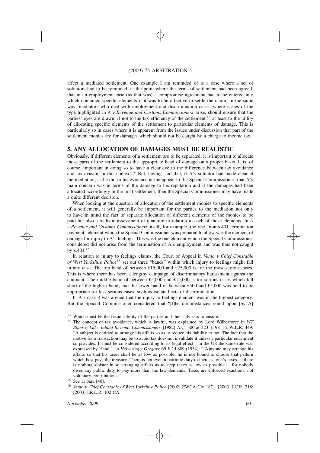#### (2009) 75 ARBITRATION 4

affect a mediated settlement. One example I am reminded of is a case where a set of solicitors had to be reminded, at the point where the terms of settlement had been agreed, that in an employment case (as that was) a compromise agreement had to be entered into which contained specific elements if it was to be effective to settle the claim. In the same way, mediators who deal with employment and discrimination cases, where issues of the type highlighted in *A v Revenue and Customs Commissioners* arise, should ensure that the parties' eyes are drawn, if not to the tax efficiency of the settlement, $^{13}$  at least to the utility of allocating specific elements of the settlement to particular elements of damage. This is particularly so in cases where it is apparent from the issues under discussion that part of the settlement monies are for damages which should not be caught by a charge to income tax.

## **5. ANY ALLOCATION OF DAMAGES MUST BE REALISTIC**

Obviously, if different elements of a settlement are to be separated, it is important to allocate those parts of the settlement to the appropriate head of damage on a proper basis. It is, of course, important in doing so to have a clear eye to the difference between tax avoidance and tax evasion in this context.<sup>14</sup> But, having said that, if A's solicitor had made clear at the mediation, as he did in his evidence at the appeal to the Special Commissioner, that A's main concern was in terms of the damage to his reputation and if the damages had been allocated accordingly in the final settlement, then the Special Commissioner may have made a quite different decision.

When looking at the question of allocation of the settlement monies to specific elements of a settlement, it will generally be important for the parties to the mediation not only to have in mind the fact of separate allocation of different elements of the monies to be paid but also a realistic assessment of quantum in relation to each of those elements. In *A v Revenue and Customs Commissioners* itself, for example, the one "non-s.401 termination payment" element which the Special Commissioner was prepared to allow was the element of damage for injury to A's feelings. This was the one element which the Special Commissioner considered did not arise from the termination of A's employment and was thus not caught by s.401.15

In relation to injury to feelings claims, the Court of Appeal in *Vento v Chief Constable of West Yorkshire Police*<sup>16</sup> set out three "bands" within which injury to feelings might fall in any case. The top band of between £15,000 and £25,000 is for the most serious cases. This is where there has been a lengthy campaign of discriminatory harassment against the claimant. The middle band of between £5,000 and £15,000 is for serious cases which fall short of the highest band; and the lower band of between £500 and £5,000 was held to be appropriate for less serious cases, such as isolated acts of discrimination.

In A's case it was argued that the injury to feelings element was in the highest category. But the Special Commissioner considered that "[t]he circumstances relied upon [by A]

 $15$  See at para [46].

<sup>&</sup>lt;sup>13</sup> Which must be the responsibility of the parties and their advisers to ensure.

<sup>14</sup> The concept of tax avoidance, which is lawful, was explained by Lord Wilberforce in *WT Ramsay Ltd v Inland Revenue Commissioners* [1982] A.C. 300 at 323; [1981] 2 W.L.R. 449: "A subject is entitled to arrange his affairs so as to reduce his liability to tax. The fact that the motive for a transaction may be to avoid tax does not invalidate it unless a particular enactment so provides. It must be considered according to its legal effect." In the US the same rule was expressed by Hand J. in *Helvering v Gregory* 69 F.2d 809 (1934): "[A]nyone may arrange his affairs so that his taxes shall be as low as possible; he is not bound to choose that pattern which best pays the treasury. There is not even a patriotic duty to increase one's taxes*...* there is nothing sinister in so arranging affairs as to keep taxes as low as possible*...* for nobody owes any public duty to pay more than the law demands. Taxes are enforced exactions, not voluntary contributions."

<sup>16</sup> *Vento v Chief Constable of West Yorkshire Police* [2002] EWCA Civ 1871; [2003] I.C.R. 318; [2003] I.R.L.R. 102 CA.